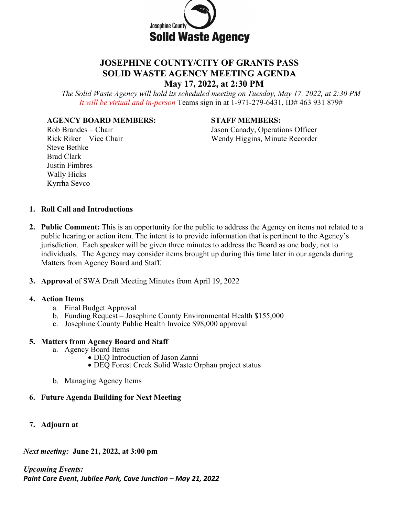

# **JOSEPHINE COUNTY/CITY OF GRANTS PASS SOLID WASTE AGENCY MEETING AGENDA**

**May 17, 2022, at 2:30 PM**

*The Solid Waste Agency will hold its scheduled meeting on Tuesday, May 17, 2022, at 2:30 PM It will be virtual and in-person* Teams sign in at 1-971-279-6431, ID# 463 931 879#

#### **AGENCY BOARD MEMBERS: STAFF MEMBERS:**

Rob Brandes – Chair Jason Canady, Operations Officer Rick Riker – Vice Chair Wendy Higgins, Minute Recorder

Steve Bethke Brad Clark Justin Fimbres Wally Hicks Kyrrha Sevco

### **1. Roll Call and Introductions**

- **2. Public Comment:** This is an opportunity for the public to address the Agency on items not related to a public hearing or action item. The intent is to provide information that is pertinent to the Agency's jurisdiction. Each speaker will be given three minutes to address the Board as one body, not to individuals. The Agency may consider items brought up during this time later in our agenda during Matters from Agency Board and Staff.
- **3. Approval** of SWA Draft Meeting Minutes from April 19, 2022

#### **4. Action Items**

- a. Final Budget Approval
- b. Funding Request Josephine County Environmental Health \$155,000
- c. Josephine County Public Health Invoice \$98,000 approval

# **5. Matters from Agency Board and Staff**

- a. Agency Board Items
	- DEQ Introduction of Jason Zanni
	- DEQ Forest Creek Solid Waste Orphan project status
- b. Managing Agency Items

# **6. Future Agenda Building for Next Meeting**

**7. Adjourn at**

*Next meeting:* **June 21, 2022, at 3:00 pm**